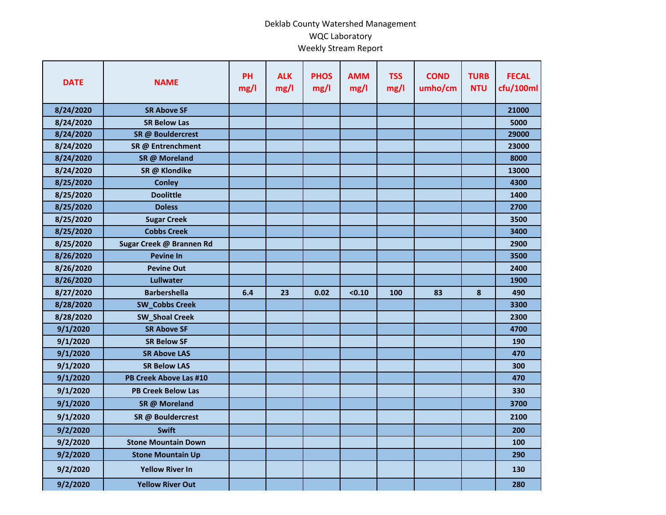## Deklab County Watershed Management WQC Laboratory Weekly Stream Report

| <b>DATE</b> | <b>NAME</b>                | <b>PH</b><br>mg/l | <b>ALK</b><br>mg/l | <b>PHOS</b><br>mg/l | <b>AMM</b><br>mg/l | <b>TSS</b><br>mg/l | <b>COND</b><br>umho/cm | <b>TURB</b><br><b>NTU</b> | <b>FECAL</b><br>cfu/100ml |
|-------------|----------------------------|-------------------|--------------------|---------------------|--------------------|--------------------|------------------------|---------------------------|---------------------------|
| 8/24/2020   | <b>SR Above SF</b>         |                   |                    |                     |                    |                    |                        |                           | 21000                     |
| 8/24/2020   | <b>SR Below Las</b>        |                   |                    |                     |                    |                    |                        |                           | 5000                      |
| 8/24/2020   | SR @ Bouldercrest          |                   |                    |                     |                    |                    |                        |                           | 29000                     |
| 8/24/2020   | SR @ Entrenchment          |                   |                    |                     |                    |                    |                        |                           | 23000                     |
| 8/24/2020   | SR @ Moreland              |                   |                    |                     |                    |                    |                        |                           | 8000                      |
| 8/24/2020   | SR @ Klondike              |                   |                    |                     |                    |                    |                        |                           | 13000                     |
| 8/25/2020   | <b>Conley</b>              |                   |                    |                     |                    |                    |                        |                           | 4300                      |
| 8/25/2020   | <b>Doolittle</b>           |                   |                    |                     |                    |                    |                        |                           | 1400                      |
| 8/25/2020   | <b>Doless</b>              |                   |                    |                     |                    |                    |                        |                           | 2700                      |
| 8/25/2020   | <b>Sugar Creek</b>         |                   |                    |                     |                    |                    |                        |                           | 3500                      |
| 8/25/2020   | <b>Cobbs Creek</b>         |                   |                    |                     |                    |                    |                        |                           | 3400                      |
| 8/25/2020   | Sugar Creek @ Brannen Rd   |                   |                    |                     |                    |                    |                        |                           | 2900                      |
| 8/26/2020   | <b>Pevine In</b>           |                   |                    |                     |                    |                    |                        |                           | 3500                      |
| 8/26/2020   | <b>Pevine Out</b>          |                   |                    |                     |                    |                    |                        |                           | 2400                      |
| 8/26/2020   | Lullwater                  |                   |                    |                     |                    |                    |                        |                           | 1900                      |
| 8/27/2020   | <b>Barbershella</b>        | 6.4               | 23                 | 0.02                | < 0.10             | 100                | 83                     | 8                         | 490                       |
| 8/28/2020   | <b>SW_Cobbs Creek</b>      |                   |                    |                     |                    |                    |                        |                           | 3300                      |
| 8/28/2020   | <b>SW_Shoal Creek</b>      |                   |                    |                     |                    |                    |                        |                           | 2300                      |
| 9/1/2020    | <b>SR Above SF</b>         |                   |                    |                     |                    |                    |                        |                           | 4700                      |
| 9/1/2020    | <b>SR Below SF</b>         |                   |                    |                     |                    |                    |                        |                           | 190                       |
| 9/1/2020    | <b>SR Above LAS</b>        |                   |                    |                     |                    |                    |                        |                           | 470                       |
| 9/1/2020    | <b>SR Below LAS</b>        |                   |                    |                     |                    |                    |                        |                           | 300                       |
| 9/1/2020    | PB Creek Above Las #10     |                   |                    |                     |                    |                    |                        |                           | 470                       |
| 9/1/2020    | <b>PB Creek Below Las</b>  |                   |                    |                     |                    |                    |                        |                           | 330                       |
| 9/1/2020    | SR @ Moreland              |                   |                    |                     |                    |                    |                        |                           | 3700                      |
| 9/1/2020    | SR @ Bouldercrest          |                   |                    |                     |                    |                    |                        |                           | 2100                      |
| 9/2/2020    | <b>Swift</b>               |                   |                    |                     |                    |                    |                        |                           | 200                       |
| 9/2/2020    | <b>Stone Mountain Down</b> |                   |                    |                     |                    |                    |                        |                           | 100                       |
| 9/2/2020    | <b>Stone Mountain Up</b>   |                   |                    |                     |                    |                    |                        |                           | 290                       |
| 9/2/2020    | <b>Yellow River In</b>     |                   |                    |                     |                    |                    |                        |                           | 130                       |
| 9/2/2020    | <b>Yellow River Out</b>    |                   |                    |                     |                    |                    |                        |                           | 280                       |